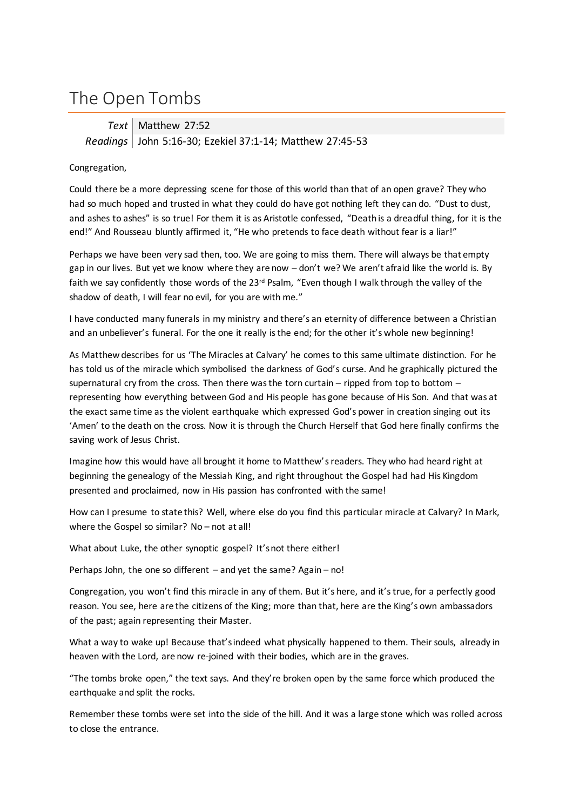## The Open Tombs

**Text** Matthew 27:52 *Readings* John 5:16-30; Ezekiel 37:1-14; Matthew 27:45-53

## Congregation,

Could there be a more depressing scene for those of this world than that of an open grave? They who had so much hoped and trusted in what they could do have got nothing left they can do. "Dust to dust, and ashes to ashes" is so true! For them it is as Aristotle confessed, "Death is a dreadful thing, for it is the end!" And Rousseau bluntly affirmed it, "He who pretends to face death without fear is a liar!"

Perhaps we have been very sad then, too. We are going to miss them. There will always be that empty gap in our lives. But yet we know where they are now – don't we? We aren't afraid like the world is. By faith we say confidently those words of the 23<sup>rd</sup> Psalm, "Even though I walk through the valley of the shadow of death, I will fear no evil, for you are with me."

I have conducted many funerals in my ministry and there's an eternity of difference between a Christian and an unbeliever's funeral. For the one it really is the end; for the other it's whole new beginning!

As Matthew describes for us 'The Miracles at Calvary' he comes to this same ultimate distinction. For he has told us of the miracle which symbolised the darkness of God's curse. And he graphically pictured the supernatural cry from the cross. Then there was the torn curtain – ripped from top to bottom – representing how everything between God and His people has gone because of His Son. And that was at the exact same time as the violent earthquake which expressed God's power in creation singing out its 'Amen' to the death on the cross. Now it is through the Church Herself that God here finally confirms the saving work of Jesus Christ.

Imagine how this would have all brought it home to Matthew's readers. They who had heard right at beginning the genealogy of the Messiah King, and right throughout the Gospel had had His Kingdom presented and proclaimed, now in His passion has confronted with the same!

How can I presume to state this? Well, where else do you find this particular miracle at Calvary? In Mark, where the Gospel so similar? No – not at all!

What about Luke, the other synoptic gospel? It's not there either!

Perhaps John, the one so different – and yet the same? Again – no!

Congregation, you won't find this miracle in any of them. But it's here, and it's true, for a perfectly good reason. You see, here are the citizens of the King; more than that, here are the King's own ambassadors of the past; again representing their Master.

What a way to wake up! Because that's indeed what physically happened to them. Their souls, already in heaven with the Lord, are now re-joined with their bodies, which are in the graves.

"The tombs broke open," the text says. And they're broken open by the same force which produced the earthquake and split the rocks.

Remember these tombs were set into the side of the hill. And it was a large stone which was rolled across to close the entrance.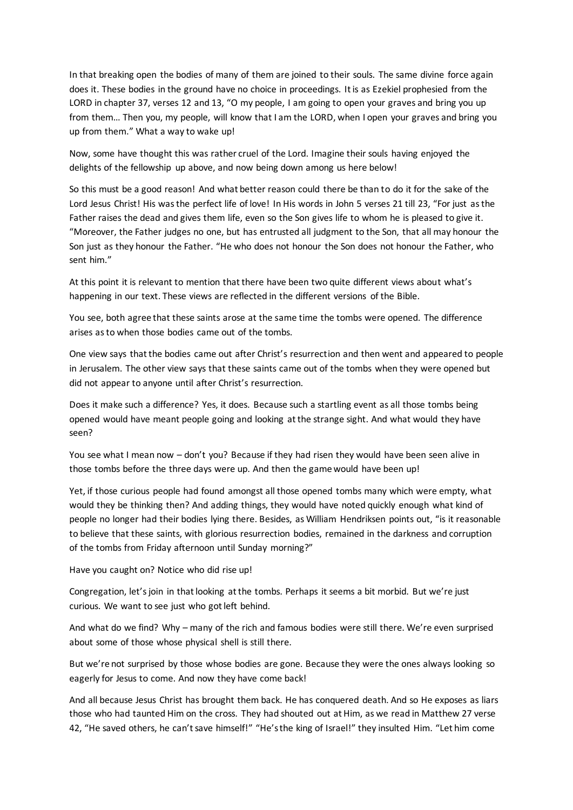In that breaking open the bodies of many of them are joined to their souls. The same divine force again does it. These bodies in the ground have no choice in proceedings. It is as Ezekiel prophesied from the LORD in chapter 37, verses 12 and 13, "O my people, I am going to open your graves and bring you up from them… Then you, my people, will know that I am the LORD, when I open your graves and bring you up from them." What a way to wake up!

Now, some have thought this was rather cruel of the Lord. Imagine their souls having enjoyed the delights of the fellowship up above, and now being down among us here below!

So this must be a good reason! And what better reason could there be than to do it for the sake of the Lord Jesus Christ! His was the perfect life of love! In His words in John 5 verses 21 till 23, "For just as the Father raises the dead and gives them life, even so the Son gives life to whom he is pleased to give it. "Moreover, the Father judges no one, but has entrusted all judgment to the Son, that all may honour the Son just as they honour the Father. "He who does not honour the Son does not honour the Father, who sent him."

At this point it is relevant to mention that there have been two quite different views about what's happening in our text. These views are reflected in the different versions of the Bible.

You see, both agree that these saints arose at the same time the tombs were opened. The difference arises as to when those bodies came out of the tombs.

One view says that the bodies came out after Christ's resurrection and then went and appeared to people in Jerusalem. The other view says that these saints came out of the tombs when they were opened but did not appear to anyone until after Christ's resurrection.

Does it make such a difference? Yes, it does. Because such a startling event as all those tombs being opened would have meant people going and looking at the strange sight. And what would they have seen?

You see what I mean now – don't you? Because if they had risen they would have been seen alive in those tombs before the three days were up. And then the game would have been up!

Yet, if those curious people had found amongst all those opened tombs many which were empty, what would they be thinking then? And adding things, they would have noted quickly enough what kind of people no longer had their bodies lying there. Besides, as William Hendriksen points out, "is it reasonable to believe that these saints, with glorious resurrection bodies, remained in the darkness and corruption of the tombs from Friday afternoon until Sunday morning?"

Have you caught on? Notice who did rise up!

Congregation, let's join in that looking at the tombs. Perhaps it seems a bit morbid. But we're just curious. We want to see just who got left behind.

And what do we find? Why – many of the rich and famous bodies were still there. We're even surprised about some of those whose physical shell is still there.

But we're not surprised by those whose bodies are gone. Because they were the ones always looking so eagerly for Jesus to come. And now they have come back!

And all because Jesus Christ has brought them back. He has conquered death. And so He exposes as liars those who had taunted Him on the cross. They had shouted out at Him, as we read in Matthew 27 verse 42, "He saved others, he can't save himself!" "He's the king of Israel!" they insulted Him. "Let him come